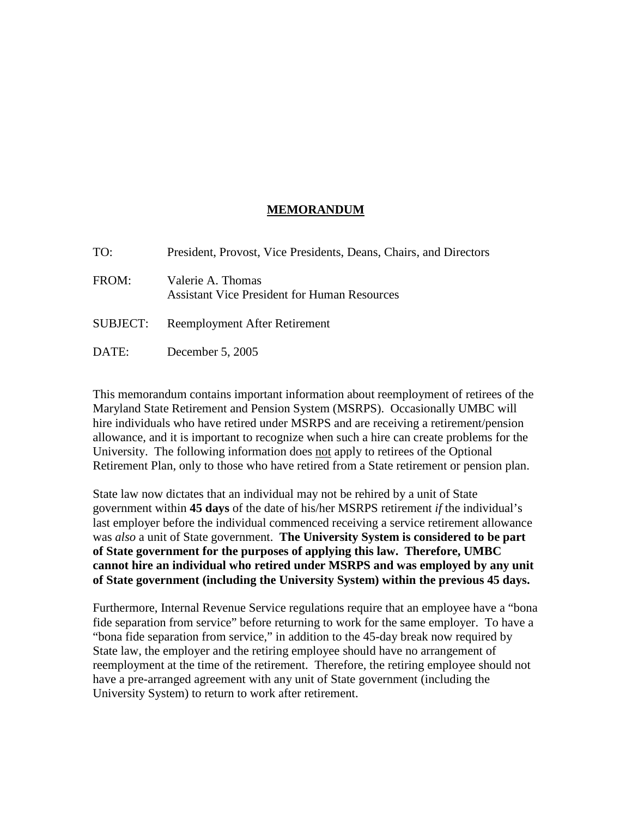## **MEMORANDUM**

| TO:      | President, Provost, Vice Presidents, Deans, Chairs, and Directors        |
|----------|--------------------------------------------------------------------------|
| FROM:    | Valerie A. Thomas<br><b>Assistant Vice President for Human Resources</b> |
| SUBJECT: | Reemployment After Retirement                                            |
| DATE:    | December $5, 2005$                                                       |

This memorandum contains important information about reemployment of retirees of the Maryland State Retirement and Pension System (MSRPS). Occasionally UMBC will hire individuals who have retired under MSRPS and are receiving a retirement/pension allowance, and it is important to recognize when such a hire can create problems for the University. The following information does not apply to retirees of the Optional Retirement Plan, only to those who have retired from a State retirement or pension plan.

State law now dictates that an individual may not be rehired by a unit of State government within **45 days** of the date of his/her MSRPS retirement *if* the individual's last employer before the individual commenced receiving a service retirement allowance was *also* a unit of State government. **The University System is considered to be part of State government for the purposes of applying this law. Therefore, UMBC cannot hire an individual who retired under MSRPS and was employed by any unit of State government (including the University System) within the previous 45 days.**

Furthermore, Internal Revenue Service regulations require that an employee have a "bona fide separation from service" before returning to work for the same employer. To have a "bona fide separation from service," in addition to the 45-day break now required by State law, the employer and the retiring employee should have no arrangement of reemployment at the time of the retirement. Therefore, the retiring employee should not have a pre-arranged agreement with any unit of State government (including the University System) to return to work after retirement.